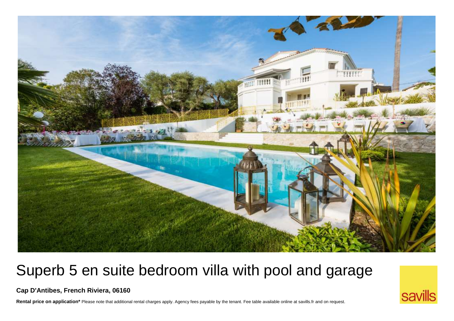

## Superb 5 en suite bedroom villa with pool and garage

Available for short term rent via Savills Seasonal **Cap D'Antibes, French Riviera, 06160**

Rental price on application\* Please note that additional rental charges apply. Agency fees payable by the tenant. Fee table available online at savills.fr and on request.

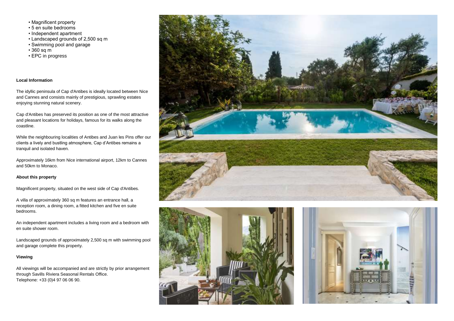- Magnificent property
- 5 en suite bedrooms
- Independent apartment
- Landscaped grounds of 2,500 sq m
- Swimming pool and garage
- 360 sq m
- EPC in progress

## **Local Information**

The idyllic peninsula of Cap d'Antibes is ideally located between Nice and Cannes and consists mainly of prestigious, sprawling estates enjoying stunning natural scenery.

Cap d'Antibes has preserved its position as one of the most attractive and pleasant locations for holidays, famous for its walks along the coastline.

While the neighbouring localities of Antibes and Juan les Pins offer our clients a lively and bustling atmosphere, Cap d'Antibes remains a tranquil and isolated haven.

Approximately 16km from Nice international airport, 12km to Cannes and 50km to Monaco.

## **About this property**

Magnificent property, situated on the west side of Cap d'Antibes.

A villa of approximately 360 sq m features an entrance hall, a reception room, a dining room, a fitted kitchen and five en suite bedrooms.

An independent apartment includes a living room and a bedroom with en suite shower room.

Landscaped grounds of approximately 2,500 sq m with swimming pool and garage complete this property.

## **Viewing**

All viewings will be accompanied and are strictly by prior arrangement through Savills Riviera Seasonal Rentals Office. Telephone: +33 (0)4 97 06 06 90.





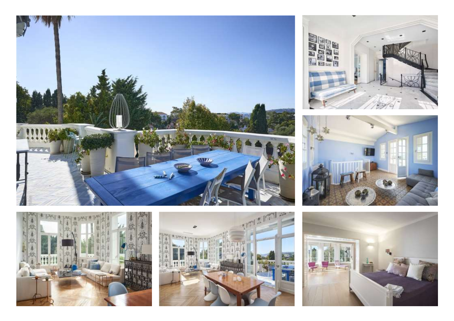